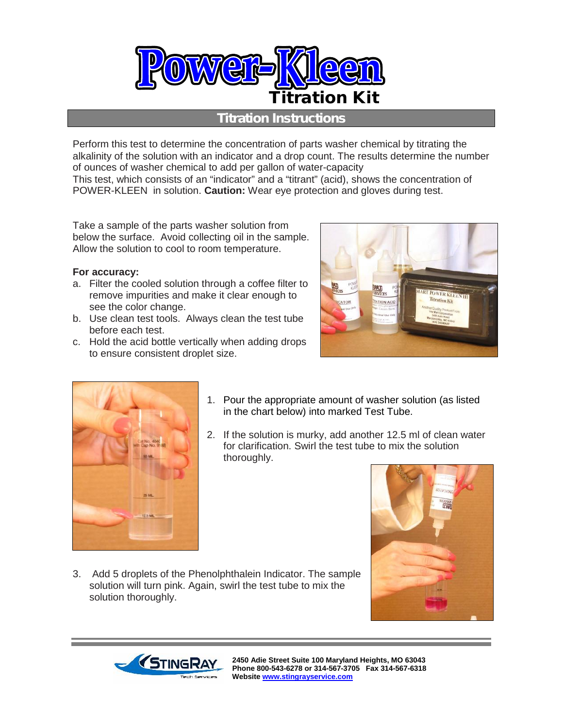

## *Titration Instructions*

Perform this test to determine the concentration of parts washer chemical by titrating the alkalinity of the solution with an indicator and a drop count. The results determine the number of ounces of washer chemical to add per gallon of water-capacity

This test, which consists of an "indicator" and a "titrant" (acid), shows the concentration of POWER-KLEEN in solution. **Caution:** Wear eye protection and gloves during test.

Take a sample of the parts washer solution from below the surface. Avoid collecting oil in the sample. Allow the solution to cool to room temperature.

## **For accuracy:**

- a. Filter the cooled solution through a coffee filter to remove impurities and make it clear enough to see the color change.
- b. Use clean test tools. Always clean the test tube before each test.
- c. Hold the acid bottle vertically when adding drops to ensure consistent droplet size.





- 1. Pour the appropriate amount of washer solution (as listed in the chart below) into marked Test Tube.
- 2. If the solution is murky, add another 12.5 ml of clean water for clarification. Swirl the test tube to mix the solution thoroughly.



3. Add 5 droplets of the Phenolphthalein Indicator. The sample solution will turn pink. Again, swirl the test tube to mix the solution thoroughly.



**2450 Adie Street Suite 100 Maryland Heights, MO 63043 Phone 800-543-6278 or 314-567-3705 Fax 314-567-6318 Website www.stingrayservice.com**